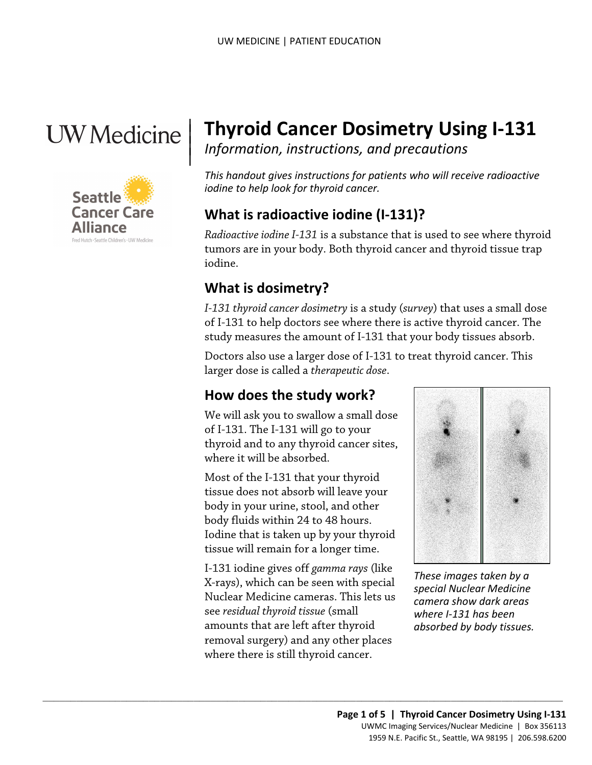# $\parallel$



## | **Thyroid Cancer Dosimetry Using I-131** *Information, instructions, and precautions* <sup>|</sup>

 *iodine to help look for thyroid cancer. This handout gives instructions for patients who will receive radioactive* 

## **What is radioactive iodine (I-131)?**

*Radioactive iodine I-131* is a substance that is used to see where thyroid tumors are in your body. Both thyroid cancer and thyroid tissue trap iodine.

## **What is dosimetry?**

 study measures the amount of I-131 that your body tissues absorb. *I-131 thyroid cancer dosimetry* is a study (*survey*) that uses a small dose of I-131 to help doctors see where there is active thyroid cancer. The

Doctors also use a larger dose of I-131 to treat thyroid cancer. This larger dose is called a *therapeutic dose*.

## **How does the study work?**

We will ask you to swallow a small dose of I-131. The I-131 will go to your thyroid and to any thyroid cancer sites, where it will be absorbed.

 tissue does not absorb will leave your Most of the I-131 that your thyroid body in your urine, stool, and other body fluids within 24 to 48 hours. Iodine that is taken up by your thyroid tissue will remain for a longer time.

I-131 iodine gives off *gamma rays* (like X-rays), which can be seen with special Nuclear Medicine cameras. This lets us see *residual thyroid tissue* (small amounts that are left after thyroid removal surgery) and any other places where there is still thyroid cancer.

 $\_$  ,  $\_$  ,  $\_$  ,  $\_$  ,  $\_$  ,  $\_$  ,  $\_$  ,  $\_$  ,  $\_$  ,  $\_$  ,  $\_$  ,  $\_$  ,  $\_$  ,  $\_$  ,  $\_$  ,  $\_$  ,  $\_$  ,  $\_$  ,  $\_$  ,  $\_$  ,  $\_$  ,  $\_$  ,  $\_$  ,  $\_$  ,  $\_$  ,  $\_$  ,  $\_$  ,  $\_$  ,  $\_$  ,  $\_$  ,  $\_$  ,  $\_$  ,  $\_$  ,  $\_$  ,  $\_$  ,  $\_$  ,  $\_$  ,



 *absorbed by body tissues. These images taken by a special Nuclear Medicine camera show dark areas where I-131 has been*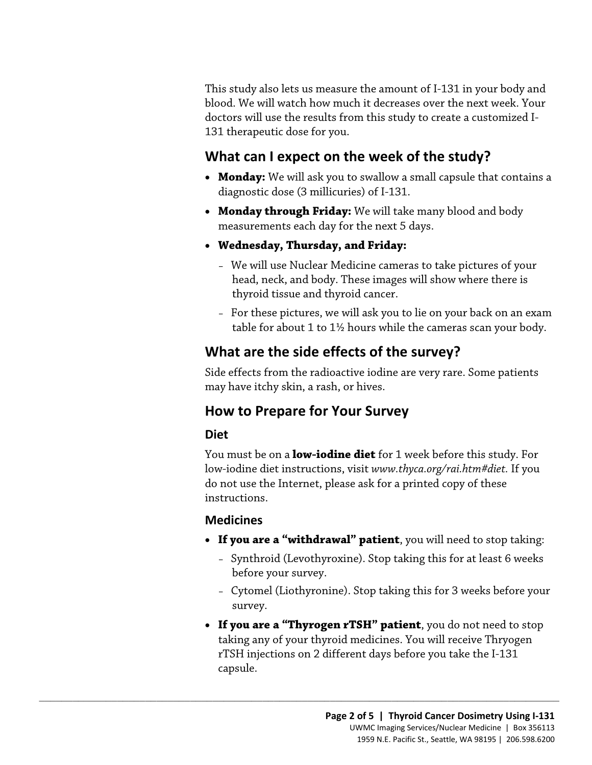This study also lets us measure the amount of I-131 in your body and blood. We will watch how much it decreases over the next week. Your doctors will use the results from this study to create a customized I-131 therapeutic dose for you.

### **What can I expect on the week of the study?**

- **Monday:** We will ask you to swallow a small capsule that contains a diagnostic dose (3 millicuries) of I-131.
- **Monday through Friday:** We will take many blood and body measurements each day for the next 5 days.
- **Wednesday, Thursday, and Friday:** 
	- We will use Nuclear Medicine cameras to take pictures of your head, neck, and body. These images will show where there is thyroid tissue and thyroid cancer.
	- – For these pictures, we will ask you to lie on your back on an exam table for about 1 to 1½ hours while the cameras scan your body.

## **What are the side effects of the survey?**

Side effects from the radioactive iodine are very rare. Some patients may have itchy skin, a rash, or hives.

## **How to Prepare for Your Survey**

 $\_$  ,  $\_$  ,  $\_$  ,  $\_$  ,  $\_$  ,  $\_$  ,  $\_$  ,  $\_$  ,  $\_$  ,  $\_$  ,  $\_$  ,  $\_$  ,  $\_$  ,  $\_$  ,  $\_$  ,  $\_$  ,  $\_$  ,  $\_$  ,  $\_$  ,  $\_$  ,  $\_$  ,  $\_$  ,  $\_$  ,  $\_$  ,  $\_$  ,  $\_$  ,  $\_$  ,  $\_$  ,  $\_$  ,  $\_$  ,  $\_$  ,  $\_$  ,  $\_$  ,  $\_$  ,  $\_$  ,  $\_$  ,  $\_$  ,

#### **Diet**

You must be on a **low-iodine diet** for 1 week before this study. For low-iodine diet instructions, visit *[www.thyca.org/rai.htm#diet.](www.thyca.org/rai.htm#diet)* If you do not use the Internet, please ask for a printed copy of these instructions.

#### **Medicines**

- **If you are a "withdrawal" patient**, you will need to stop taking:
	- Synthroid (Levothyroxine). Stop taking this for at least 6 weeks before your survey.
	- Cytomel (Liothyronine). Stop taking this for 3 weeks before your survey.
- **If you are a "Thyrogen rTSH" patient**, you do not need to stop taking any of your thyroid medicines. You will receive Thryogen rTSH injections on 2 different days before you take the I-131 capsule.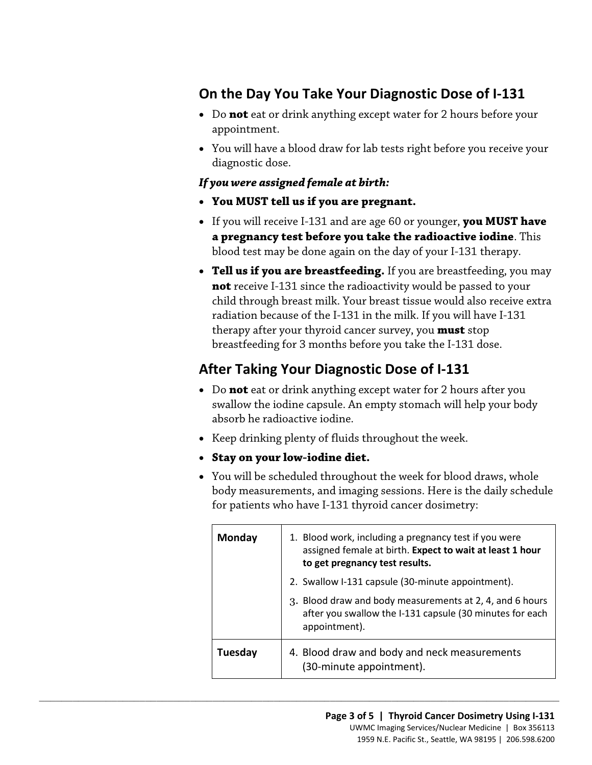## **On the Day You Take Your Diagnostic Dose of I-131**

- Do **not** eat or drink anything except water for 2 hours before your appointment.
- You will have a blood draw for lab tests right before you receive your diagnostic dose.

#### *If you were assigned female at birth:*

- **You MUST tell us if you are pregnant.**
- • If you will receive I-131 and are age 60 or younger, **you MUST have**  blood test may be done again on the day of your I-131 therapy. **a pregnancy test before you take the radioactive iodine**. This
- • **Tell us if you are breastfeeding.** If you are breastfeeding, you may child through breast milk. Your breast tissue would also receive extra radiation because of the I-131 in the milk. If you will have I-131 therapy after your thyroid cancer survey, you **must** stop breastfeeding for 3 months before you take the I-131 dose. **not** receive I-131 since the radioactivity would be passed to your

## **After Taking Your Diagnostic Dose of I-131**

- Do **not** eat or drink anything except water for 2 hours after you swallow the iodine capsule. An empty stomach will help your body absorb he radioactive iodine.
- Keep drinking plenty of fluids throughout the week.
- **Stay on your low-iodine diet.**

 $\_$  ,  $\_$  ,  $\_$  ,  $\_$  ,  $\_$  ,  $\_$  ,  $\_$  ,  $\_$  ,  $\_$  ,  $\_$  ,  $\_$  ,  $\_$  ,  $\_$  ,  $\_$  ,  $\_$  ,  $\_$  ,  $\_$  ,  $\_$  ,  $\_$  ,  $\_$  ,  $\_$  ,  $\_$  ,  $\_$  ,  $\_$  ,  $\_$  ,  $\_$  ,  $\_$  ,  $\_$  ,  $\_$  ,  $\_$  ,  $\_$  ,  $\_$  ,  $\_$  ,  $\_$  ,  $\_$  ,  $\_$  ,  $\_$  ,

 for patients who have I-131 thyroid cancer dosimetry: • You will be scheduled throughout the week for blood draws, whole body measurements, and imaging sessions. Here is the daily schedule

| <b>Monday</b> | 1. Blood work, including a pregnancy test if you were<br>assigned female at birth. Expect to wait at least 1 hour<br>to get pregnancy test results. |
|---------------|-----------------------------------------------------------------------------------------------------------------------------------------------------|
|               | 2. Swallow I-131 capsule (30-minute appointment).                                                                                                   |
|               | 3. Blood draw and body measurements at 2, 4, and 6 hours<br>after you swallow the I-131 capsule (30 minutes for each<br>appointment).               |
| Tuesday       | 4. Blood draw and body and neck measurements<br>(30-minute appointment).                                                                            |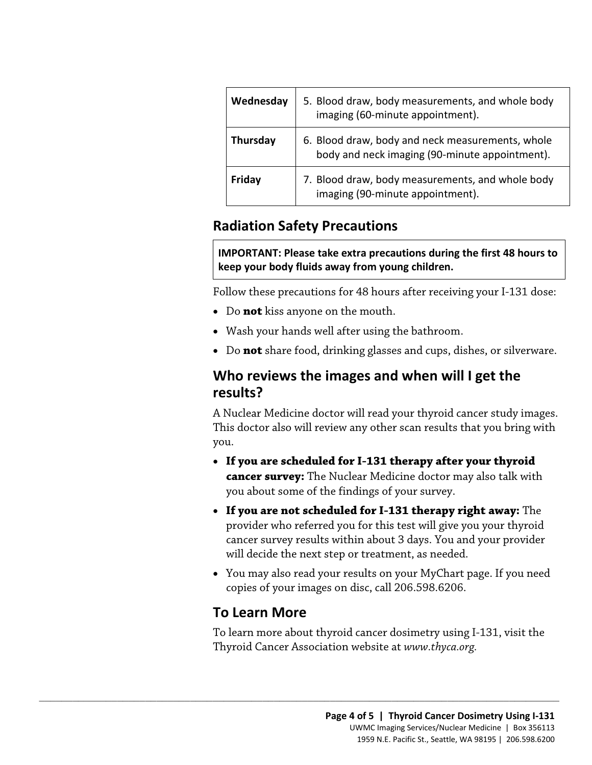| Wednesday | 5. Blood draw, body measurements, and whole body<br>imaging (60-minute appointment).               |
|-----------|----------------------------------------------------------------------------------------------------|
| Thursday  | 6. Blood draw, body and neck measurements, whole<br>body and neck imaging (90-minute appointment). |
| Friday    | 7. Blood draw, body measurements, and whole body<br>imaging (90-minute appointment).               |

## **Radiation Safety Precautions**

**IMPORTANT: Please take extra precautions during the first 48 hours to keep your body fluids away from young children.** 

Follow these precautions for 48 hours after receiving your I-131 dose:

- Do **not** kiss anyone on the mouth.
- Wash your hands well after using the bathroom.
- Do **not** share food, drinking glasses and cups, dishes, or silverware.

## **Who reviews the images and when will I get the results?**

A Nuclear Medicine doctor will read your thyroid cancer study images. This doctor also will review any other scan results that you bring with you.

- **If you are scheduled for I-131 therapy after your thyroid cancer survey:** The Nuclear Medicine doctor may also talk with you about some of the findings of your survey.
- **If you are not scheduled for I-131 therapy right away:** The provider who referred you for this test will give you your thyroid cancer survey results within about 3 days. You and your provider will decide the next step or treatment, as needed.
- You may also read your results on your MyChart page. If you need copies of your images on disc, call 206.598.6206.

## **To Learn More**

 $\_$  ,  $\_$  ,  $\_$  ,  $\_$  ,  $\_$  ,  $\_$  ,  $\_$  ,  $\_$  ,  $\_$  ,  $\_$  ,  $\_$  ,  $\_$  ,  $\_$  ,  $\_$  ,  $\_$  ,  $\_$  ,  $\_$  ,  $\_$  ,  $\_$  ,  $\_$  ,  $\_$  ,  $\_$  ,  $\_$  ,  $\_$  ,  $\_$  ,  $\_$  ,  $\_$  ,  $\_$  ,  $\_$  ,  $\_$  ,  $\_$  ,  $\_$  ,  $\_$  ,  $\_$  ,  $\_$  ,  $\_$  ,  $\_$  ,

To learn more about thyroid cancer dosimetry using I-131, visit the Thyroid Cancer Association website at *[www.thyca.org.](www.thyca.org)*